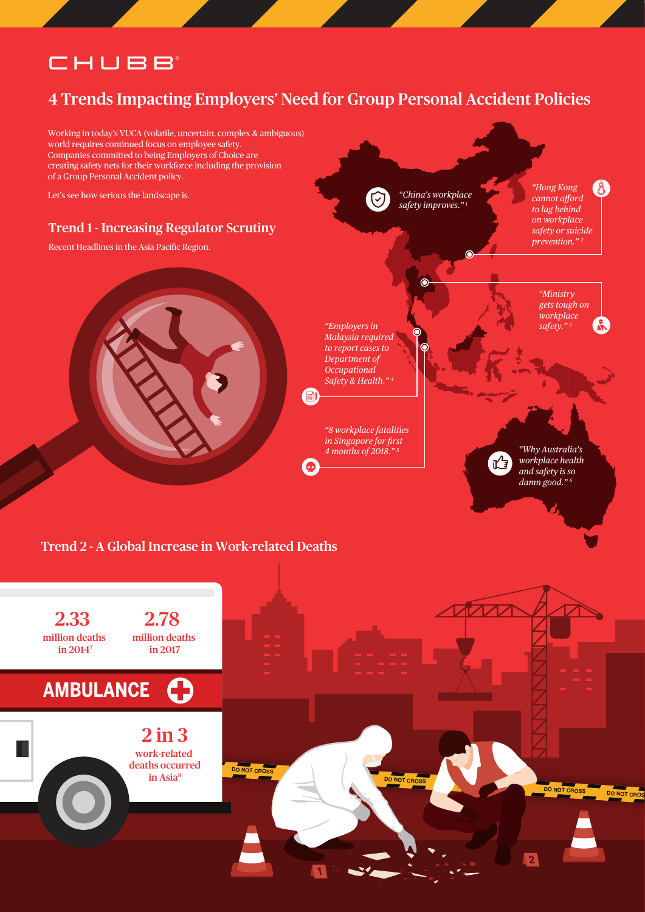# CHUBB

### 4 Trends Impacting Employers' Need for Group Personal Accident Policies

Working in today's VUCA (volatile, uncertain, complex & ambiguous) world requires continued focus on employee safety. Companies committed to being Employers of Choice are creating safety nets for their workforce including the provision of a Group Personal Accident policy.

Let's see how serious the landscape is.

#### Trend 1 - Increasing Regulator Scrutiny

Recent Headlines in the Asia Pacific Region.



*"China's workplace*   $\bigcirc$ *safety improves." 1*

 $\ddot{\bullet}$ 

*"Hong Kong cannot afford to lag behind on workplace safety or suicide prevention." 2*

> *"Ministry gets tough on workplace*



自

 $\bullet$ 

*"8 workplace fatalities in Singapore for first 4 months of 2018." 5*

*"Why Australia's* 



*workplace health and safety is so damn good." 6*

#### Trend 2 - A Global Increase in Work-related Deaths